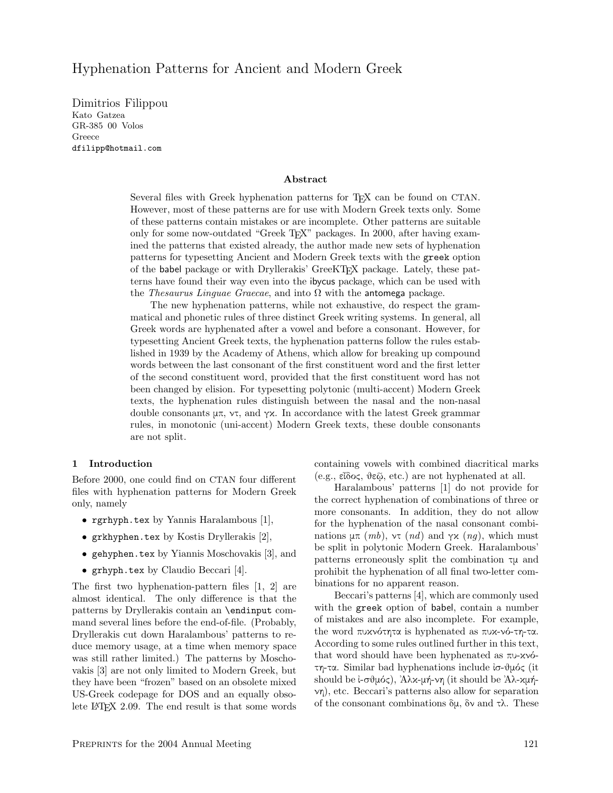# Hyphenation Patterns for Ancient and Modern Greek

Dimitrios Filippou Kato Gatzea GR-385 00 Volos Greece dfilipp@hotmail.com

#### Abstract

Several files with Greek hyphenation patterns for TEX can be found on CTAN. However, most of these patterns are for use with Modern Greek texts only. Some of these patterns contain mistakes or are incomplete. Other patterns are suitable only for some now-outdated "Greek TEX" packages. In 2000, after having examined the patterns that existed already, the author made new sets of hyphenation patterns for typesetting Ancient and Modern Greek texts with the greek option of the babel package or with Dryllerakis' GreeKTFX package. Lately, these patterns have found their way even into the ibycus package, which can be used with the *Thesaurus Linguae Graecae*, and into  $\Omega$  with the antomega package.

The new hyphenation patterns, while not exhaustive, do respect the grammatical and phonetic rules of three distinct Greek writing systems. In general, all Greek words are hyphenated after a vowel and before a consonant. However, for typesetting Ancient Greek texts, the hyphenation patterns follow the rules established in 1939 by the Academy of Athens, which allow for breaking up compound words between the last consonant of the first constituent word and the first letter of the second constituent word, provided that the first constituent word has not been changed by elision. For typesetting polytonic (multi-accent) Modern Greek texts, the hyphenation rules distinguish between the nasal and the non-nasal double consonants µπ, ντ, and γκ. In accordance with the latest Greek grammar rules, in monotonic (uni-accent) Modern Greek texts, these double consonants are not split.

#### 1 Introduction

Before 2000, one could find on CTAN four different files with hyphenation patterns for Modern Greek only, namely

- rgrhyph.tex by Yannis Haralambous [1],
- grkhyphen.tex by Kostis Dryllerakis [2],
- gehyphen.tex by Yiannis Moschovakis [3], and
- grhyph.tex by Claudio Beccari [4].

The first two hyphenation-pattern files [1, 2] are almost identical. The only difference is that the patterns by Dryllerakis contain an \endinput command several lines before the end-of-file. (Probably, Dryllerakis cut down Haralambous' patterns to reduce memory usage, at a time when memory space was still rather limited.) The patterns by Moschovakis [3] are not only limited to Modern Greek, but they have been "frozen" based on an obsolete mixed US-Greek codepage for DOS and an equally obsolete LAT<sub>F</sub>X 2.09. The end result is that some words containing vowels with combined diacritical marks (e.g., εÚδοc, θεÄ, etc.) are not hyphenated at all.

Haralambous' patterns [1] do not provide for the correct hyphenation of combinations of three or more consonants. In addition, they do not allow for the hyphenation of the nasal consonant combinations  $\mu\pi$  (*mb*), ντ (*nd*) and γκ (*ng*), which must be split in polytonic Modern Greek. Haralambous' patterns erroneously split the combination  $\tau\mu$  and prohibit the hyphenation of all final two-letter combinations for no apparent reason.

Beccari's patterns [4], which are commonly used with the greek option of babel, contain a number of mistakes and are also incomplete. For example, the word πυκνότητα is hyphenated as πυκ-νό-τη-τα. According to some rules outlined further in this text, that word should have been hyphenated as πυ-κνότη-τα. Similar bad hyphenations include  $i\sigma$ -θμός (it should be ε-σθμός),  $A\lambda x$ -μή-νη (it should be  $A\lambda$ -χμήνη), etc. Beccari's patterns also allow for separation of the consonant combinations  $\delta \mu$ ,  $\delta \nu$  and τλ. These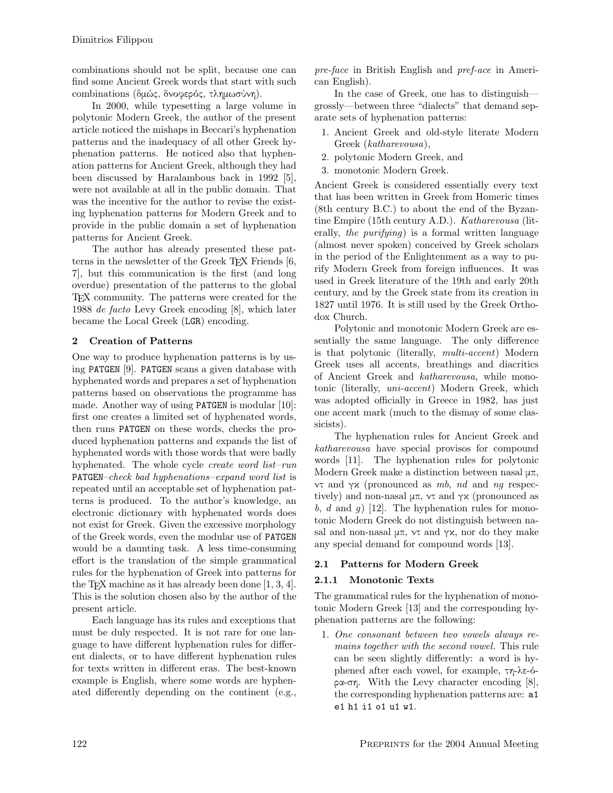combinations should not be split, because one can find some Ancient Greek words that start with such combinations (δμώς, δνοφερός, τλημωσύνη).

In 2000, while typesetting a large volume in polytonic Modern Greek, the author of the present article noticed the mishaps in Beccari's hyphenation patterns and the inadequacy of all other Greek hyphenation patterns. He noticed also that hyphenation patterns for Ancient Greek, although they had been discussed by Haralambous back in 1992 [5], were not available at all in the public domain. That was the incentive for the author to revise the existing hyphenation patterns for Modern Greek and to provide in the public domain a set of hyphenation patterns for Ancient Greek.

The author has already presented these patterns in the newsletter of the Greek TFX Friends [6, 7], but this communication is the first (and long overdue) presentation of the patterns to the global TEX community. The patterns were created for the 1988 de facto Levy Greek encoding [8], which later became the Local Greek (LGR) encoding.

### 2 Creation of Patterns

One way to produce hyphenation patterns is by using PATGEN [9]. PATGEN scans a given database with hyphenated words and prepares a set of hyphenation patterns based on observations the programme has made. Another way of using PATGEN is modular [10]: first one creates a limited set of hyphenated words, then runs PATGEN on these words, checks the produced hyphenation patterns and expands the list of hyphenated words with those words that were badly hyphenated. The whole cycle create word list–run PATGEN–check bad hyphenations–expand word list is repeated until an acceptable set of hyphenation patterns is produced. To the author's knowledge, an electronic dictionary with hyphenated words does not exist for Greek. Given the excessive morphology of the Greek words, even the modular use of PATGEN would be a daunting task. A less time-consuming effort is the translation of the simple grammatical rules for the hyphenation of Greek into patterns for the TFX machine as it has already been done  $[1, 3, 4]$ . This is the solution chosen also by the author of the present article.

Each language has its rules and exceptions that must be duly respected. It is not rare for one language to have different hyphenation rules for different dialects, or to have different hyphenation rules for texts written in different eras. The best-known example is English, where some words are hyphenated differently depending on the continent (e.g., pre-face in British English and pref-ace in American English).

In the case of Greek, one has to distinguish grossly—between three "dialects" that demand separate sets of hyphenation patterns:

- 1. Ancient Greek and old-style literate Modern Greek (katharevousa),
- 2. polytonic Modern Greek, and
- 3. monotonic Modern Greek.

Ancient Greek is considered essentially every text that has been written in Greek from Homeric times (8th century B.C.) to about the end of the Byzantine Empire (15th century A.D.). Katharevousa (literally, the purifying is a formal written language (almost never spoken) conceived by Greek scholars in the period of the Enlightenment as a way to purify Modern Greek from foreign influences. It was used in Greek literature of the 19th and early 20th century, and by the Greek state from its creation in 1827 until 1976. It is still used by the Greek Orthodox Church.

Polytonic and monotonic Modern Greek are essentially the same language. The only difference is that polytonic (literally, multi-accent) Modern Greek uses all accents, breathings and diacritics of Ancient Greek and katharevousa, while monotonic (literally, uni-accent) Modern Greek, which was adopted officially in Greece in 1982, has just one accent mark (much to the dismay of some classicists).

The hyphenation rules for Ancient Greek and katharevousa have special provisos for compound words [11]. The hyphenation rules for polytonic Modern Greek make a distinction between nasal  $\mu\pi$ , ντ and γκ (pronounced as mb, nd and ng respectively) and non-nasal  $\mu$ π, ντ and γκ (pronounced as b, d and g) [12]. The hyphenation rules for monotonic Modern Greek do not distinguish between nasal and non-nasal  $\mu\pi$ , ντ and γκ, nor do they make any special demand for compound words [13].

## 2.1 Patterns for Modern Greek

## 2.1.1 Monotonic Texts

The grammatical rules for the hyphenation of monotonic Modern Greek [13] and the corresponding hyphenation patterns are the following:

1. One consonant between two vowels always remains together with the second vowel. This rule can be seen slightly differently: a word is hyphened after each vowel, for example, τη-lε-όρα-ση. With the Levy character encoding [8], the corresponding hyphenation patterns are: a1 e1 h1 i1 o1 u1 w1.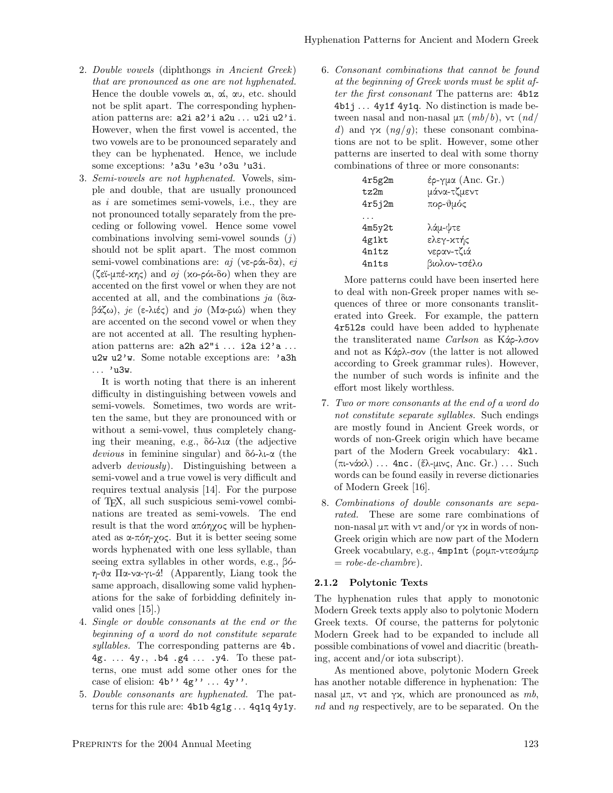- 2. Double vowels (diphthongs in Ancient Greek) that are pronounced as one are not hyphenated. Hence the double vowels αι, αί, αυ, etc. should not be split apart. The corresponding hyphenation patterns are:  $a2i a2'i a2u \ldots u2i u2'i$ . However, when the first vowel is accented, the two vowels are to be pronounced separately and they can be hyphenated. Hence, we include some exceptions: 'a3u 'e3u 'o3u 'u3i.
- 3. Semi-vowels are not hyphenated. Vowels, simple and double, that are usually pronounced as i are sometimes semi-vowels, i.e., they are not pronounced totally separately from the preceding or following vowel. Hence some vowel combinations involving semi-vowel sounds  $(i)$ should not be split apart. The most common semi-vowel combinations are: *aj* (νε-ράι-δα), *ej* (ζεϊ-μπέ-κης) and *oj* (κο-ρόι-δο) when they are accented on the first vowel or when they are not accented at all, and the combinations  $ja$  (διαβάζω), je (ε-λιές) and jo (Μα-ριώ) when they are accented on the second vowel or when they are not accented at all. The resulting hyphenation patterns are:  $a2h a2''i... i2a i2'a...$ u2w u2'w. Some notable exceptions are: 'a3h . . . 'u3w.

It is worth noting that there is an inherent difficulty in distinguishing between vowels and semi-vowels. Sometimes, two words are written the same, but they are pronounced with or without a semi-vowel, thus completely changing their meaning, e.g., δό-lια (the adjective devious in feminine singular) and  $\delta$ ό-λι-α (the adverb deviously). Distinguishing between a semi-vowel and a true vowel is very difficult and requires textual analysis [14]. For the purpose of TEX, all such suspicious semi-vowel combinations are treated as semi-vowels. The end result is that the word απόηχοc will be hyphenated as α-πόη-χοc. But it is better seeing some words hyphenated with one less syllable, than seeing extra syllables in other words, e.g., βόη-θα Πα-να-γι-ά! (Apparently, Liang took the same approach, disallowing some valid hyphenations for the sake of forbidding definitely invalid ones [15].)

- 4. Single or double consonants at the end or the beginning of a word do not constitute separate syllables. The corresponding patterns are  $4b$ .  $4g. \ldots 4y.$ ,  $.b4. g4 \ldots 1y4.$  To these patterns, one must add some other ones for the case of elision:  $4b'$ '  $4g'$ ' ...  $4y'$ '.
- 5. Double consonants are hyphenated. The patterns for this rule are: 4b1b 4g1g . . . 4q1q 4y1y.

6. Consonant combinations that cannot be found at the beginning of Greek words must be split after the first consonant The patterns are: 4b1z  $4b1j...4y1f4y1q.$  No distinction is made between nasal and non-nasal  $\mu\pi$  (mb/b), ντ (nd/ d) and γκ  $(nq/q)$ ; these consonant combinations are not to be split. However, some other patterns are inserted to deal with some thorny combinations of three or more consonants:

| 4r5g2m | έρ-γμα (Anc. Gr.) |
|--------|-------------------|
| tz2m   | μάνα-τζμεντ       |
| 4r5i2m | πορ-θμός          |
|        |                   |
| 4m5y2t | λάμ-ψτε           |
| 4g1kt  | ελεγ-κτής         |
| 4n1tz  | νεραν-τζιά        |
| 4n1ts  | βιολον-τσέλο      |
|        |                   |

More patterns could have been inserted here to deal with non-Greek proper names with sequences of three or more consonants transliterated into Greek. For example, the pattern 4r5l2s could have been added to hyphenate the transliterated name Carlson as Κάρ-λσον and not as Κάρl-σον (the latter is not allowed according to Greek grammar rules). However, the number of such words is infinite and the effort most likely worthless.

- 7. Two or more consonants at the end of a word do not constitute separate syllables. Such endings are mostly found in Ancient Greek words, or words of non-Greek origin which have became part of the Modern Greek vocabulary: 4kl. (πι-νάκl) . . . 4nc. (él-µινc, Anc. Gr.) . . . Such words can be found easily in reverse dictionaries of Modern Greek [16].
- 8. Combinations of double consonants are separated. These are some rare combinations of non-nasal  $\mu\pi$  with ντ and/or γx in words of non-Greek origin which are now part of the Modern Greek vocabulary, e.g., 4mp1nt (ροµπ-ντεσάµπρ  $=$  robe-de-chambre).

### 2.1.2 Polytonic Texts

The hyphenation rules that apply to monotonic Modern Greek texts apply also to polytonic Modern Greek texts. Of course, the patterns for polytonic Modern Greek had to be expanded to include all possible combinations of vowel and diacritic (breathing, accent and/or iota subscript).

As mentioned above, polytonic Modern Greek has another notable difference in hyphenation: The nasal μπ, ντ and γκ, which are pronounced as mb, nd and ng respectively, are to be separated. On the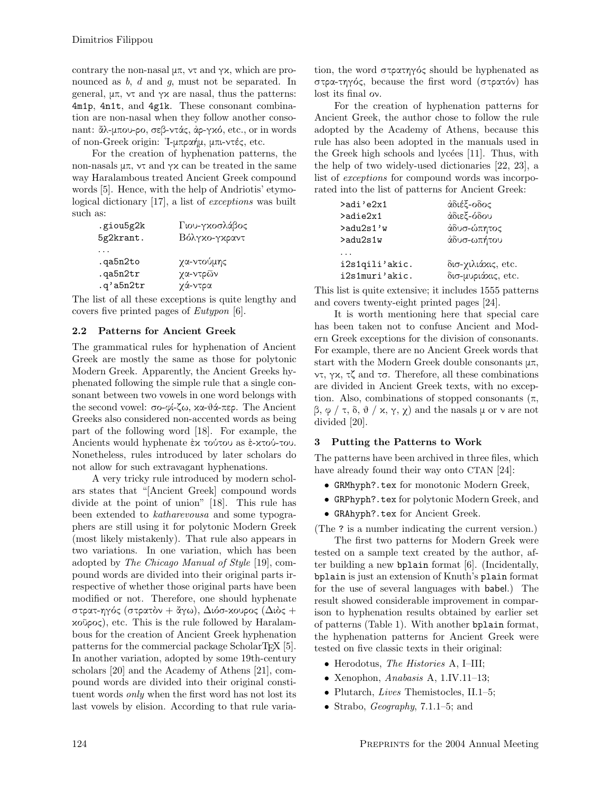contrary the non-nasal  $\mu\pi$ ,  $\nu\tau$  and  $\gamma\chi$ , which are pronounced as b, d and g, must not be separated. In general,  $\mu$ π, ντ and γκ are nasal, thus the patterns: 4m1p, 4n1t, and 4g1k. These consonant combination are non-nasal when they follow another consonant: ἄλ-μπου-ρο, σεβ-ντάς, ἀρ-γκό, etc., or in words of non-Greek origin: >Ι-µπραήµ, µπι-ντέc, etc.

For the creation of hyphenation patterns, the non-nasals  $\mu\pi$ , ντ and γx can be treated in the same way Haralambous treated Ancient Greek compound words [5]. Hence, with the help of Andriotis' etymological dictionary [17], a list of exceptions was built such as:

| .giou5g2k<br>5g2krant. | Γιου-γκοσλάβος<br>Βόλγκο-γκραντ |
|------------------------|---------------------------------|
|                        |                                 |
| .qa5n2to               | χα-ντούμης                      |
| .qa5n2tr               | γα-ντρῶν                        |
| .q'a5n2tr              | χά-ντρα                         |

The list of all these exceptions is quite lengthy and covers five printed pages of Eutypon [6].

### 2.2 Patterns for Ancient Greek

The grammatical rules for hyphenation of Ancient Greek are mostly the same as those for polytonic Modern Greek. Apparently, the Ancient Greeks hyphenated following the simple rule that a single consonant between two vowels in one word belongs with the second vowel: σο-φί-ζω, κα-θά-περ. The Ancient Greeks also considered non-accented words as being part of the following word [18]. For example, the Ancients would hyphenate έχ τούτου as έ-χτού-του. Nonetheless, rules introduced by later scholars do not allow for such extravagant hyphenations.

A very tricky rule introduced by modern scholars states that "[Ancient Greek] compound words divide at the point of union" [18]. This rule has been extended to katharevousa and some typographers are still using it for polytonic Modern Greek (most likely mistakenly). That rule also appears in two variations. In one variation, which has been adopted by The Chicago Manual of Style [19], compound words are divided into their original parts irrespective of whether those original parts have been modified or not. Therefore, one should hyphenate στρατ-ηγός (στρατὸν + ἄγω), Διόσ-κουρος (Διὸς +  $xo$ ῦρος), etc. This is the rule followed by Haralambous for the creation of Ancient Greek hyphenation patterns for the commercial package ScholarTEX [5]. In another variation, adopted by some 19th-century scholars [20] and the Academy of Athens [21], compound words are divided into their original constituent words only when the first word has not lost its last vowels by elision. According to that rule variation, the word στρατηγόc should be hyphenated as στρα-τηγόc, because the first word (στρατόν) has lost its final ον.

For the creation of hyphenation patterns for Ancient Greek, the author chose to follow the rule adopted by the Academy of Athens, because this rule has also been adopted in the manuals used in the Greek high schools and lycées  $[11]$ . Thus, with the help of two widely-used dictionaries [22, 23], a list of exceptions for compound words was incorporated into the list of patterns for Ancient Greek:

| >adi'e2x1          | ἀδιέξ-οδος         |
|--------------------|--------------------|
| >adie2x1           | άδιεξ-όδου         |
| $>$ adu $2s1'w$    | άδυσ-ώπητος        |
| $>$ adu $2$ s $1w$ | άδυσ-ωπήτου        |
|                    |                    |
| i2s1qili'akic.     | δισ-χιλιάχις, etc. |
| i2s1muri'akic.     | δισ-μυριάχις, etc. |

This list is quite extensive; it includes 1555 patterns and covers twenty-eight printed pages [24].

It is worth mentioning here that special care has been taken not to confuse Ancient and Modern Greek exceptions for the division of consonants. For example, there are no Ancient Greek words that start with the Modern Greek double consonants µπ, ντ, γκ, τζ and τσ. Therefore, all these combinations are divided in Ancient Greek texts, with no exception. Also, combinations of stopped consonants  $(\pi,$ β, φ / τ, δ, θ / κ, γ,  $\chi$ ) and the nasals  $\mu$  or  $\nu$  are not divided [20].

## 3 Putting the Patterns to Work

The patterns have been archived in three files, which have already found their way onto CTAN [24]:

- GRMhyph?.tex for monotonic Modern Greek,
- GRPhyph?.tex for polytonic Modern Greek, and
- GRAhyph?.tex for Ancient Greek.

(The ? is a number indicating the current version.)

The first two patterns for Modern Greek were tested on a sample text created by the author, after building a new bplain format [6]. (Incidentally, bplain is just an extension of Knuth's plain format for the use of several languages with babel.) The result showed considerable improvement in comparison to hyphenation results obtained by earlier set of patterns (Table 1). With another bplain format, the hyphenation patterns for Ancient Greek were tested on five classic texts in their original:

- Herodotus, *The Histories* A, I–III;
- Xenophon, Anabasis A, 1.IV.11–13;
- Plutarch, *Lives* Themistocles, II.1–5;
- Strabo, *Geography*, 7.1.1–5; and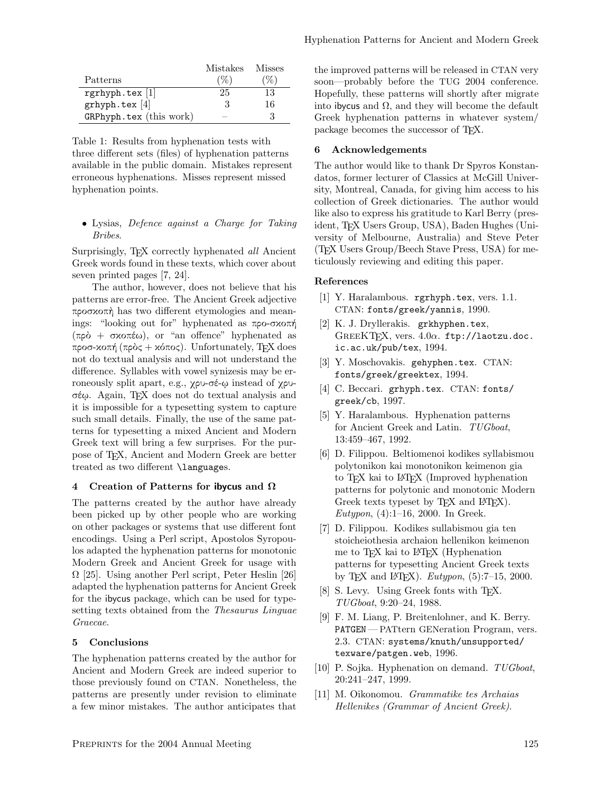|                         | <b>Mistakes</b> | <b>Misses</b>   |
|-------------------------|-----------------|-----------------|
| Patterns                | $(\%)$          | $\mathscr{D}_0$ |
| $rgrhyph.$ tex $[1]$    | 25              | 13              |
| grhyph.tex [4]          | 3               | 16              |
| GRPhyph.tex (this work) | -               | 3               |

Table 1: Results from hyphenation tests with three different sets (files) of hyphenation patterns available in the public domain. Mistakes represent erroneous hyphenations. Misses represent missed hyphenation points.

#### • Lysias, Defence against a Charge for Taking Bribes.

Surprisingly, T<sub>E</sub>X correctly hyphenated *all* Ancient Greek words found in these texts, which cover about seven printed pages [7, 24].

The author, however, does not believe that his patterns are error-free. The Ancient Greek adjective προσκοπή has two different etymologies and meanings: "looking out for" hyphenated as προ-σκοπή (πρä + σκοπέω), or "an offence" hyphenated as προσ-κοπή (πρὸς + κόπος). Unfortunately, TEX does not do textual analysis and will not understand the difference. Syllables with vowel synizesis may be erroneously split apart, e.g., χρυ-σέ-ú instead of χρυσέú. Again, TEX does not do textual analysis and it is impossible for a typesetting system to capture such small details. Finally, the use of the same patterns for typesetting a mixed Ancient and Modern Greek text will bring a few surprises. For the purpose of TEX, Ancient and Modern Greek are better treated as two different \languages.

#### 4 Creation of Patterns for ibycus and  $\Omega$

The patterns created by the author have already been picked up by other people who are working on other packages or systems that use different font encodings. Using a Perl script, Apostolos Syropoulos adapted the hyphenation patterns for monotonic Modern Greek and Ancient Greek for usage with  $\Omega$  [25]. Using another Perl script, Peter Heslin [26] adapted the hyphenation patterns for Ancient Greek for the ibycus package, which can be used for typesetting texts obtained from the Thesaurus Linguae Graecae.

### 5 Conclusions

The hyphenation patterns created by the author for Ancient and Modern Greek are indeed superior to those previously found on CTAN. Nonetheless, the patterns are presently under revision to eliminate a few minor mistakes. The author anticipates that the improved patterns will be released in CTAN very soon—probably before the TUG 2004 conference. Hopefully, these patterns will shortly after migrate into ibycus and  $\Omega$ , and they will become the default Greek hyphenation patterns in whatever system/ package becomes the successor of TEX.

#### 6 Acknowledgements

The author would like to thank Dr Spyros Konstandatos, former lecturer of Classics at McGill University, Montreal, Canada, for giving him access to his collection of Greek dictionaries. The author would like also to express his gratitude to Karl Berry (president, TEX Users Group, USA), Baden Hughes (University of Melbourne, Australia) and Steve Peter (TEX Users Group/Beech Stave Press, USA) for meticulously reviewing and editing this paper.

#### References

- [1] Y. Haralambous. rgrhyph.tex, vers. 1.1. CTAN: fonts/greek/yannis, 1990.
- [2] K. J. Dryllerakis. grkhyphen.tex,  $GREEKTEX,$  vers.  $4.0\alpha$ . ftp://laotzu.doc. ic.ac.uk/pub/tex, 1994.
- [3] Y. Moschovakis. gehyphen.tex. CTAN: fonts/greek/greektex, 1994.
- [4] C. Beccari. grhyph.tex. CTAN: fonts/ greek/cb, 1997.
- [5] Y. Haralambous. Hyphenation patterns for Ancient Greek and Latin. TUGboat, 13:459–467, 1992.
- [6] D. Filippou. Beltiomenoi kodikes syllabismou polytonikon kai monotonikon keimenon gia to TEX kai to LATEX (Improved hyphenation patterns for polytonic and monotonic Modern Greek texts typeset by T<sub>F</sub>X and L<sup>AT</sup>F<sub>X</sub>. Eutypon, (4):1–16, 2000. In Greek.
- [7] D. Filippou. Kodikes sullabismou gia ten stoicheiothesia archaion hellenikon keimenon me to TFX kai to LATFX (Hyphenation patterns for typesetting Ancient Greek texts by TEX and IATEX). Eutypon,  $(5)$ :7-15, 2000.
- [8] S. Levy. Using Greek fonts with TEX. TUGboat, 9:20–24, 1988.
- [9] F. M. Liang, P. Breitenlohner, and K. Berry. PATGEN—PATtern GENeration Program, vers. 2.3. CTAN: systems/knuth/unsupported/ texware/patgen.web, 1996.
- [10] P. Sojka. Hyphenation on demand. TUGboat, 20:241–247, 1999.
- [11] M. Oikonomou. Grammatike tes Archaias Hellenikes (Grammar of Ancient Greek).